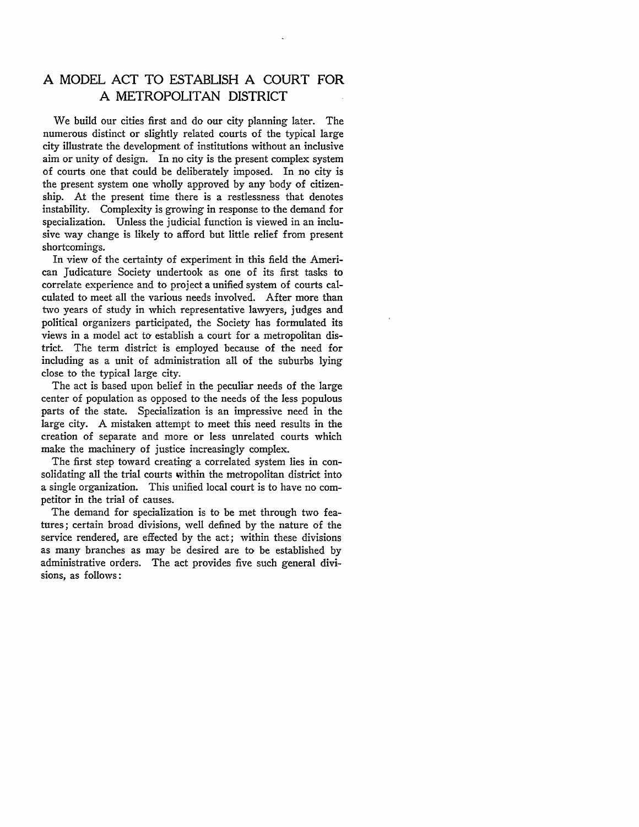## A MODEL ACT TO ESTABLISH A COURT FOR A METROPOLITAN DISTRICT

We build our cities first and do our city planning later. The numerous distinct or slightly related courts of the typical large city illustrate the development of institutions without an inclusive aim or unity of design. In no city is the present complex system of courts one that could be deliberately imposed. In no city is the present system one wholly approved by any body of citizenship. At the present time there is a restlessness that denotes instability. Complexity is growing in response to the demand for specialization. Unless the judicial function is viewed in an inclusive way change is likely to afford but little relief from present shortcomings.

In view of the certainty of experiment in this field the American Judicature Society undertook as one of its first tasks to correlate experience and to project a unified system of courts calculated to meet all the various needs involved. After more than two years of study in which representative lawyers, judges and political organizers participated, the Society has formulated its views in a model act to establish a court for a metropolitan district. The term district is employed because of the need for including as a unit of administration all of the suburbs lying close to the typical large city.

The act is based upon belief in the peculiar needs of the large center of population as opposed to the needs of the less populous parts of the state. Specialization is an impressive need in the large city. A mistaken attempt to meet this need results in the creation of separate and more or less unrelated courts which make the machinery of justice increasingly complex.

The first step toward creating a correlated system lies in consolidating all the trial courts within the metropolitan district into a single organization. This unified local court is to have no competitor in the trial of causes.

The demand for specialization is to be met through two features; certain broad divisions, well defined by the nature of the service rendered, are effected by the act; within these divisions as many branches as may be desired are to be established by administrative orders. The act provides five such general divisions, as follows: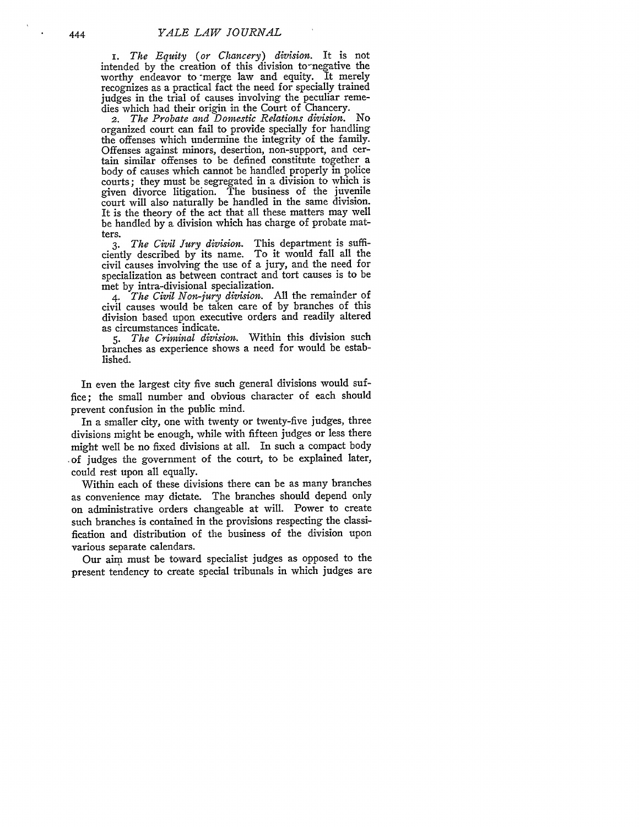*i. The Equity (or Chancery) division.* It is not intended by the creation of this division to-negative the worthy endeavor to merge law and equity. It merely recognizes as a practical fact the need for specially trained judges in the trial of causes involving the peculiar remedies which had their origin in the Court of Chancery.

**2.** *The Probate and Domestic Relations division.* No organized court can fail to provide specially for handling the offenses which undermine the integrity of the family. Offenses against minors, desertion, non-support, and certain similar offenses to be defined constitute together a body of causes which cannot be handled properly in police courts; they must be segregated in a division to which is given divorce litigation. The business of the juvenile court will also naturally be handled in the same division. It is the theory of the act that all these matters may well be handled by a division which has charge of probate matters.

*3. The Civil Jury division.* This department is sufficiently described by its name. To it would fall all the civil causes involving the use of a jury, and the need for specialization as between contract and tort causes is to be met by intra-divisional specialization.

*4. The Civil Non-jury division.* All the remainder of civil causes would be taken care of by branches of this division based upon executive orders and readily altered as circumstances indicate.

*5. The Criminal division.* Within this division such branches as experience shows a need for would be established.

In even the largest city five such general divisions would suffice; the small number and obvious character of each should prevent confusion in the public mind.

In a smaller city, one with twenty or twenty-five judges, three divisions might be enough, while with fifteen judges or less there might well be no fixed divisions at all. In such a compact body **.of** judges the government of the court, to be explained later, could rest upon all equally.

Within each of these divisions there can be as many branches as convenience may dictate. The branches should depend only on administrative orders changeable at will. Power to create such branches is contained in the provisions respecting the classification and distribution of the business of the division upon various separate calendars.

Our aim must be toward specialist judges as opposed to the present tendency to create special tribunals in which judges are

 $\ddot{\phantom{a}}$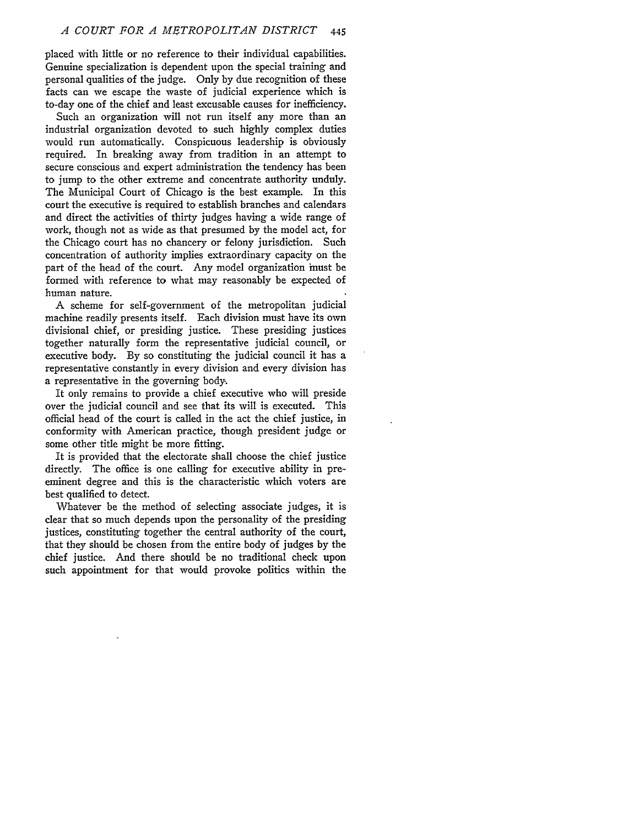placed with little or no reference to their individual capabilities. Genuine specialization is dependent upon the special training and personal qualities of the judge. Only by due recognition of these facts can we escape the waste of judicial experience which is to-day one of the chief and least excusable causes for inefficiency.

Such an organization will not run itself any more than an industrial organization devoted to such highly complex duties would run automatically. Conspicuous leadership is obviously required. In breaking away from tradition in an attempt to secure conscious and expert administration the tendency has been to jump to the other extreme and concentrate authority unduly. The Municipal Court of Chicago is the best example. In this court the executive is required to establish branches and calendars and direct the activities of thirty judges having a wide range of work, though not as wide as that presumed by the model act, for the Chicago court has no chancery or felony jurisdiction. Such concentration of authority implies extraordinary capacity on the part of the head of the court. Any model organization must be formed with reference to what may reasonably be expected of human nature.

A scheme for self-government of the metropolitan judicial machine readily presents itself. Each division must have its own divisional chief, or presiding justice. These presiding justices together naturally form the representative judicial council, or executive body. By so constituting the judicial council it has a representative constantly in every division and every division has a representative in the governing body.

It only remains to provide a chief executive who will preside over the judicial council and see that its will is executed. This official head of the court is called in the act the chief justice, in conformity with American practice, though president judge or some other title might be more fitting.

It is provided that the electorate shall choose the chief justice directly. The office is one calling for executive ability in preeminent degree and this is the characteristic which voters are best qualified to detect.

Whatever be the method of selecting associate judges, it is clear that so much depends upon the personality of the presiding justices, constituting together the central authority of the court, that they should be chosen from the entire body of judges by the chief justice. And there should be no traditional check upon such appointment for that would provoke politics within the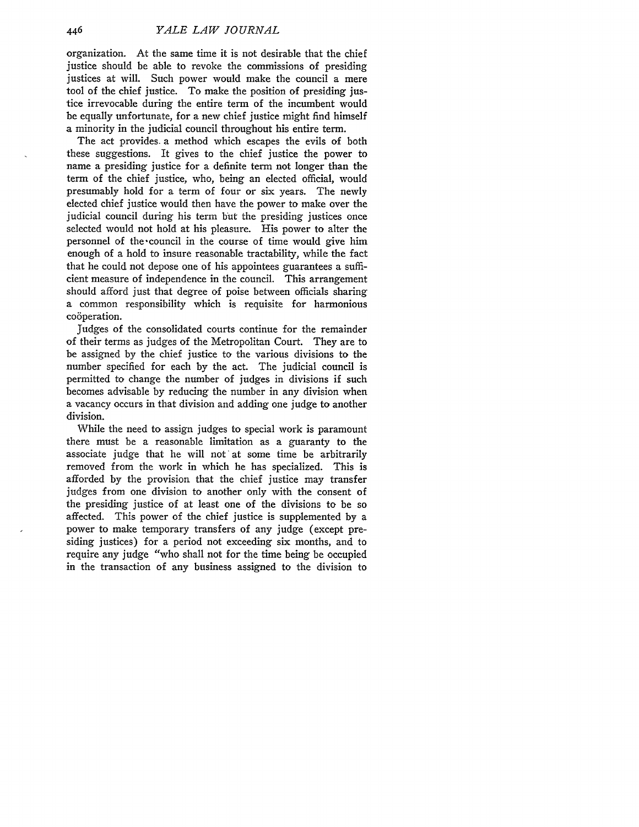organization. At the same time it is not desirable that the chief justice should be able to revoke the commissions of presiding justices at will. Such power would make the council a mere tool of the chief justice. To make the position of presiding justice irrevocable during the entire term of the incumbent would be equally unfortunate, for a new chief justice might find himself a minority in the judicial council throughout his entire term.

The act provides, a method which escapes the evils of both these suggestions. It gives to the chief justice the power to name a presiding justice for a definite term not longer than the term of the chief justice, who, being an elected official, would presumably hold for a term of four or six years. The newly elected chief justice would then have the power to make over the judicial council during his term but the presiding justices once selected would not hold at his pleasure. His power to alter the personnel of the-council in the course of time would give him enough of a hold to insure reasonable tractability, while the fact that he could not depose one of his appointees guarantees a sufficient measure of independence in the council. This arrangement should afford just that degree of poise between officials sharing a common responsibility which is requisite for harmonious coöperation.

Judges of the consolidated courts continue for the remainder of their terms as judges of the Metropolitan Court. They are to be assigned by the chief justice to the various divisions to the number specified for each by the act. The judicial council is permitted to change the number of judges in divisions if such becomes advisable by reducing the number in any division when a vacancy occurs in that division and adding one judge to another division.

While the need to assign judges to special work is paramount there must be a reasonable limitation as a guaranty to the associate judge that he will not at some time be arbitrarily removed from the work in which he has specialized. This is afforded by the provision that the chief justice may transfer judges from one division to another only with the consent of the presiding justice of at least one of the divisions to be so affected. This power of the chief justice is supplemented by a power to make temporary transfers of any judge (except presiding justices) for a period not exceeding six months, and to require any judge "who shall not for the time being be occupied in the transaction of any business assigned to the division to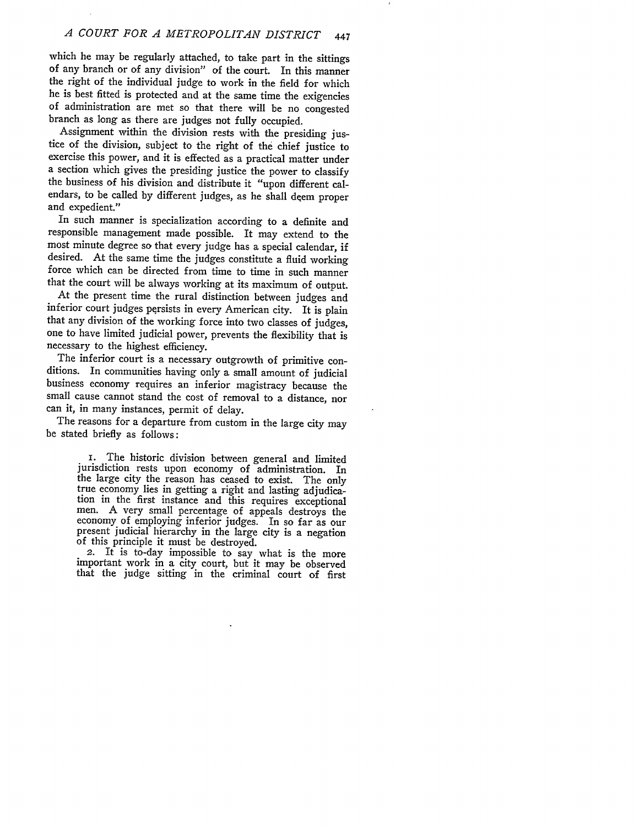which he may be regularly attached, to take part in the sittings of any branch or of any division" of the court. In this manner the right of the individual judge to work in the field for which he is best fitted is protected and at the same time the exigencies of administration are met so that there will be no congested branch as long as there are judges not fully occupied.<br>Assignment within the division rests with the presiding jus-

tice of the division, subject to the right of the chief justice to exercise this power, and it is effected as a practical matter under<br>a section which gives the presiding justice the power to classify the business of his division and distribute it "upon different calendars, to be called **by** different judges, as he shall deem proper and expedient."

In such manner is specialization according to a definite and responsible management made possible. It may extend to the most minute degree so that every judge has a special calendar, if desired. At the same time the judges constitute a fluid working force which can be directed from time to time in such manner that the court will be always working at its maximum of output.

At the present time the rural distinction between judges and inferior court judges persists in every American city. It is plain that any division of the working force into two classes of judges, one to have limited judicial power, prevents the flexibility that is necessary to the highest efficiency.

The inferior court is a necessary outgrowth of primitive conditions. In communities having only a small amount of judicial business economy requires an inferior magistracy because the small cause cannot stand the cost of removal to a distance, nor can it, in many instances, permit of delay.

The reasons for a departure from custom in the large city may be stated briefly as follows:

> **i.** The historic division between general and limited jurisdiction rests upon economy of administration. In the large city the reason has ceased to exist. The only true economy lies in getting a right and lasting adjudica-<br>tion in the first instance and this requires exceptional men. **A** very small percentage of appeals destroys the economy of employing inferior judges. In so far as our present judicial hierarchy in the large city is a negation of this principle it must be destroyed. **2.** It is to-day impossible to say what is the more

> important work in a city court, but it may be observed that the judge sitting in the criminal court of first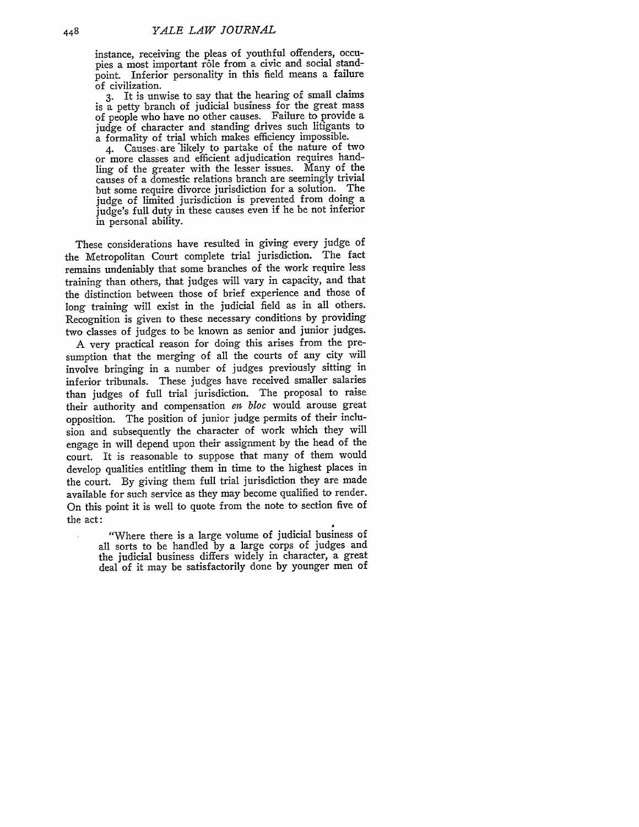instance, receiving the pleas of youthful offenders, occupies a most important rôle from a civic and social standpoint. Inferior personality in this field means a failure of civilization.

**3.** It is unwise to say that the hearing of small claims is a petty branch of judicial business for the great mass of people who have no other causes. Failure to provide a judge of character and standing drives such litigants to a formality of trial which makes efficiency impossible.

4. Causes, are 'likely to partake of the nature of two or more classes and efficient adjudication requires handling of the greater with the lesser issues. Many of the causes of a domestic relations branch are seemingly trivial but some require divorce jurisdiction for a solution. The judge of limited jurisdiction is prevented from doing a judge's full duty in these causes even if he be not inferior in personal ability.

These considerations have resulted in giving every judge of the Metropolitan Court complete trial jurisdiction. The fact remains undeniably that some branches of the work require less training than others, that judges will vary in capacity, and that the distinction between those of brief experience and those of long training will exist in the judicial field as in all others. Recognition is given to these necessary conditions by providing two classes of judges to be known as senior and junior judges.

A very practical reason for doing this arises from the presumption that the merging of all the courts of any city will involve bringing in a number of judges previously sitting in inferior tribunals. These judges have received smaller salaries than judges of full trial jurisdiction. The proposal to raise their authority and compensation en- *bloc* would arouse great opposition. The position of junior judge permits of their inclusion and subsequently the character of work which they will engage in will depend upon their assignment by the head of the court. It is reasonable to suppose that many of them would develop qualities entitling them in time to the highest places in the court. By giving them full trial jurisdiction they are made available for such service as they may become qualified to render. On this point it is well to quote from the note to section five of the act:

> "Where there is a large volume of judicial business of all sorts to be handled by a large corps of judges and the judicial business differs widely in character, a great deal of it may be satisfactorily done by younger men of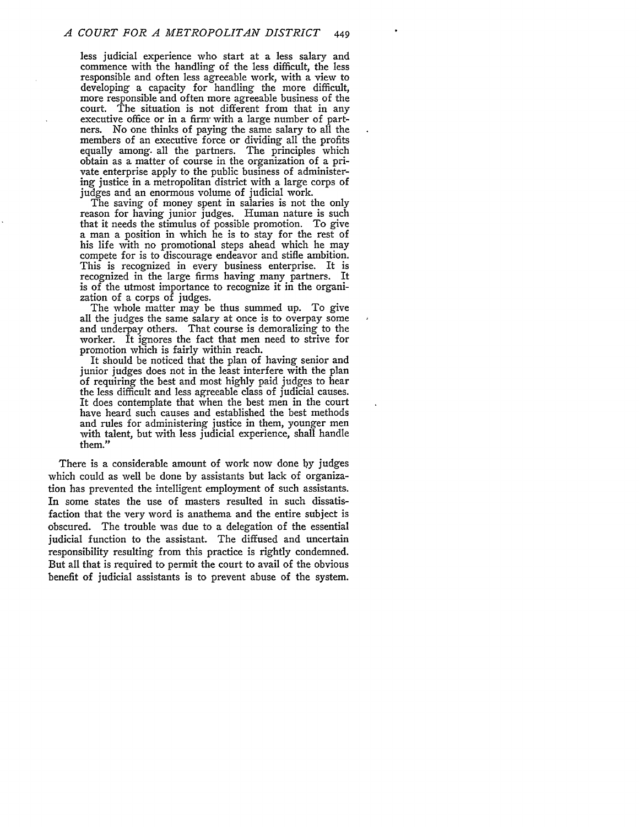less judicial experience who start at a less salary and commence with the handling of the less difficult, the less responsible and often less agreeable work, with a view to developing a capacity for handling the more difficult, more responsible and often more agreeable business of the court. The situation is not different from that in any executive office or in a firm with a large number of partners. No one thinks of paying the same salary to all the members of an executive force or dividing all the profits equally among. all the partners. The principles which obtain as a matter of course in the organization of a private enterprise apply to the public business of administering justice in a metropolitan district with a large corps of judges and an enormous volume of judicial work.

The saving of money spent in salaries is not the only reason for having junior judges. Human nature is such that it needs the stimulus of possible promotion. To give a man a position in which he is to stay for the rest of his life with no promotional steps ahead which he may compete for is to discourage endeavor and stifle ambition. This is recognized in every business enterprise. It is recognized in the large firms having many partners. It is of the utmost importance to recognize it in the organization of a corps of judges.

The whole matter may be thus summed up. To give all the judges the same salary at once is to overpay some and underpay others. That course is demoralizing to the worker. It ignores the fact that men need to strive for promotion which is fairly within reach.

It should be noticed that the plan of having senior and junior judges does not in the least interfere with the plan of requiring the best and most highly paid judges to hear the less difficult and less agreeable class of judicial causes. It does contemplate that when the best men in the court have heard such causes and established the best methods and rules for administering justice in them, younger men with talent, but with less judicial experience, shall handle them."

There is a considerable amount of work now done **by** judges which could as well be done **by** assistants but lack of organization has prevented the intelligent employment of such assistants. In some states the use of masters resulted in such dissatisfaction that the very word is anathema and the entire subject is obscured. The trouble was due to a delegation of the essential judicial function to the assistant. The diffused and uncertain responsibility resulting from this practice is rightly condemned. But all that is required to permit the court to avail of the obvious benefit of judicial assistants is to prevent abuse of the system.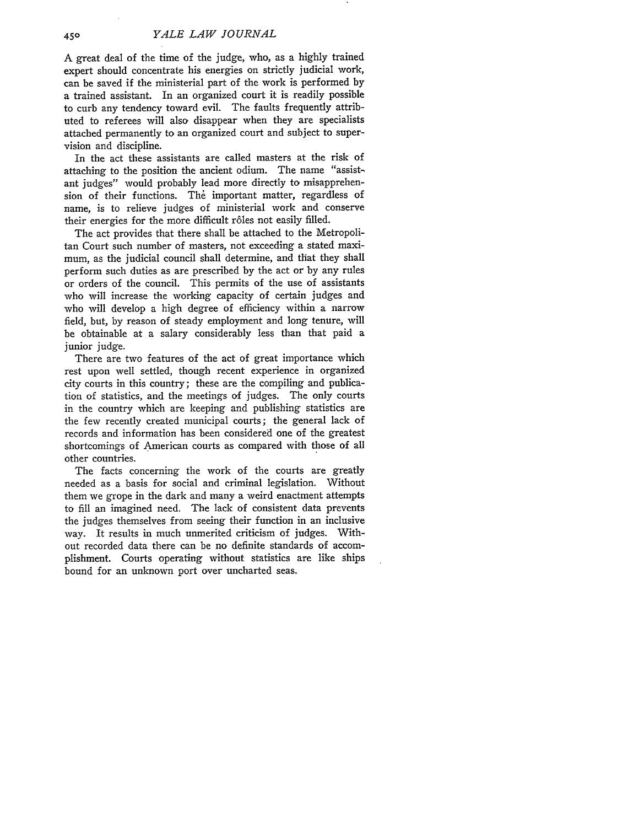**A** great deal of the time of the judge, who, as a **highly** trained expert should concentrate his energies on strictly judicial work, can be saved if the ministerial part of the work is performed **by** a trained assistant. In an organized court it is readily possible to curb any tendency toward evil. The faults frequently attributed to referees will also disappear when they are specialists attached permanently to an organized court and subject to supervision and discipline.

In the act these assistants are called masters at the risk of attaching to the position the ancient odium. The name "assistant judges" would probably lead more directly to misapprehension of their functions. The important matter, regardless of name, is to relieve judges of ministerial work and conserve their energies for the more difficult rôles not easily filled.

The act provides that there shall be attached to the Metropolitan Court such number of masters, not exceeding a stated maximum, as the judicial council shall determine, and that they shall perform such duties as are prescribed **by** the act or **by** any rules or orders of the council. This permits of the use of assistants who will increase the working capacity **of** certain judges and who will develop a high degree of efficiency within a narrow field, but, **by** reason of steady employment and long tenure, will be obtainable at a salary considerably less than that paid a junior judge.

There are two features of the act of great importance which rest upon well settled, though recent experience in organized city courts in this country; these are the compiling and publication of statistics, and the meetings of judges. The only courts in the country which are keeping and publishing statistics are the few recently created municipal courts; the general lack of records and information has been considered one **of** the greatest shortcomings of American courts as compared with those of all other countries.

The facts concerning the work of the courts are greatly needed as a basis for social and criminal legislation. Without them we grope in the dark and many a weird enactment attempts to **fill** an imagined need. The lack of consistent data prevents the judges themselves from seeing their function in an inclusive way. It results in much unmerited criticism of judges. Without recorded data there can be no definite standards of accomplishment. Courts operating without statistics are like ships bound for an unknown port over uncharted seas.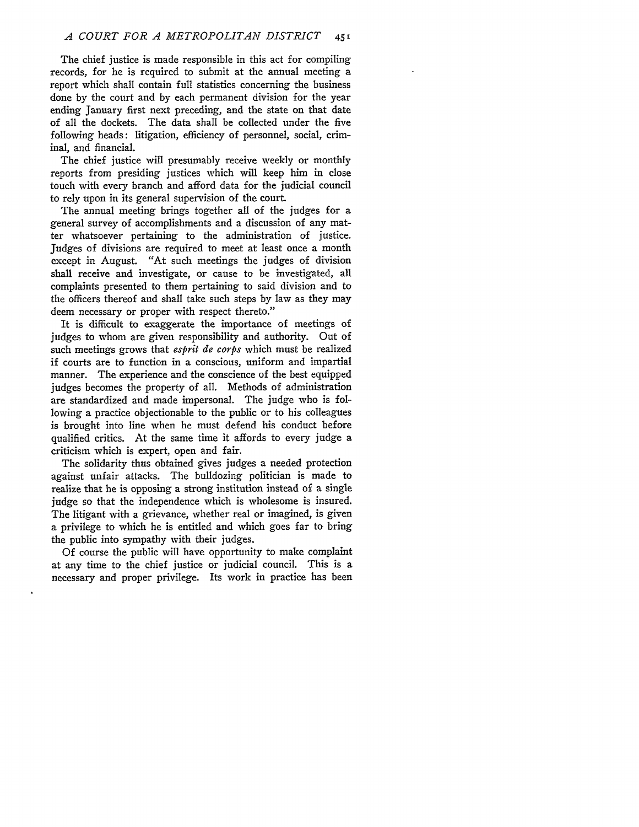The chief justice is made responsible in this act for compiling records, for he is required to submit at the annual meeting a report which shall contain full statistics concerning the business done by the court and by each permanent division for the year ending January first next preceding, and the state on that date of all the dockets. The data shall be collected under the five following heads: litigation, efficiency of personnel, social, criminal, and financial.

The chief justice will presumably receive weekly or monthly reports from presiding justices which will keep him in close touch with every branch and afford data for the judicial council to rely upon in its general supervision of the court.

The annual meeting brings together all of the judges for a general survey of accomplishments and a discussion of any matter whatsoever pertaining to the administration of justice. Judges of divisions are required to meet at least once a month except in August. "At such meetings the judges of division shall receive and investigate, or cause to be investigated, all complaints presented to them pertaining to said division and to the officers thereof and shall take such steps by law as they may deem necessary or proper with respect thereto."

It is difficult to exaggerate the importance of meetings of judges to whom are given responsibility and authority. Out of such meetings grows that *esprit de corps* which must be realized if courts are to function in a conscious, uniform and impartial manner. The experience and the conscience of the best equipped judges becomes the property of all. Methods of administration are standardized and made impersonal. The judge who is following a practice objectionable to the public or to his colleagues is brought into line when he must defend his conduct before qualified critics. At the same time it affords to every judge a criticism which is expert, open and fair.

The solidarity thus obtained gives judges a needed protection against unfair attacks. The bulldozing politician is made to realize that he is opposing a strong institution instead of a single judge so that the independence which is wholesome is insured. The litigant with a grievance, whether real or imagined, is given a privilege to which he is entitled and which goes far to bring the public into sympathy with their judges.

Of course the public will have opportunity to make complaint at any time to the chief justice or judicial council. This is a necessary and proper privilege. Its work in practice has been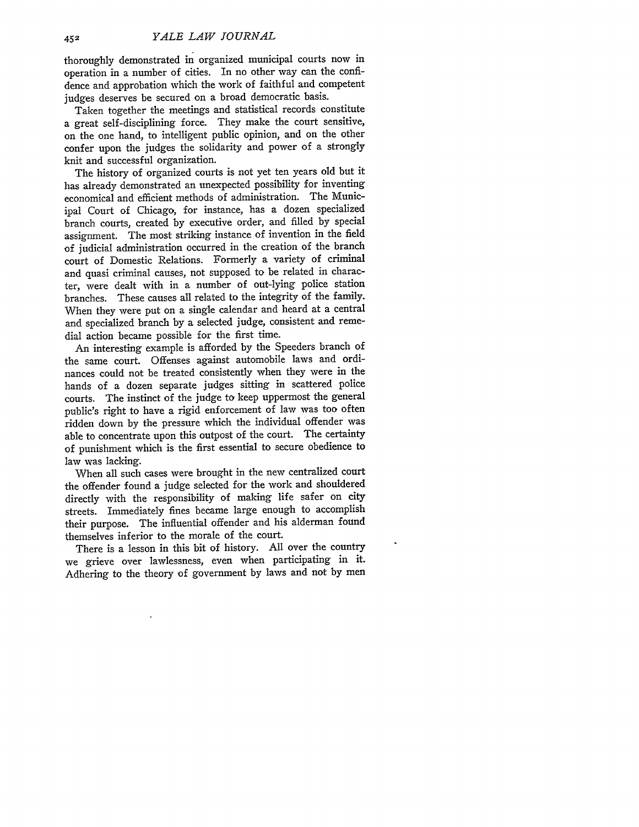thoroughly demonstrated in organized municipal courts now in operation in a number of cities. In no other way can the confidence and approbation which the work of faithful and competent judges deserves be secured on a broad democratic basis.

Taken together the meetings and statistical records constitute a great self-disciplining force. They make the court sensitive, on the one hand, to intelligent public opinion, and on the other confer upon the judges the solidarity and power of a strongly knit and successful organization.

The history of organized courts is not yet ten years old but it has already demonstrated an unexpected possibility for inventing economical and efficient methods of administration. The Municipal Court of Chicago, for instance, has a dozen specialized branch courts, created by executive order, and filled by special assignment. The most striking instance of invention in the field of judicial administration occurred in the creation of the branch court of Domestic Relations. Formerly a variety of criminal and quasi criminal causes, not supposed to be related in character, were dealt with in a number of out-lying police station branches. These causes all related to the integrity of the family. When they were put on a single calendar and heard at a central and specialized branch by a selected judge, consistent and remedial action became possible for the first time.

An interesting example is afforded by the Speeders branch of the same court. Offenses against automobile laws and ordinances could not be treated consistently when they were in the hands of a dozen separate judges sitting in scattered police courts. The instinct of the judge to keep uppermost the general public's right to have a rigid enforcement of law was too often ridden down by the pressure which the individual offender was able to concentrate upon this outpost of the court. The certainty of punishment which is the first essential to secure obedience to law was lacking.

When all such cases were brought in the new centralized court the offender found a judge selected for the work and shouldered directly with the responsibility of making life safer on city streets. Immediately fines became large enough to accomplish their purpose. The influential offender and his alderman found themselves inferior to the morale of the court.

There is a lesson in this bit of history. All over the country we grieve over lawlessness, even when participating in it. Adhering to the theory of government by laws and not by men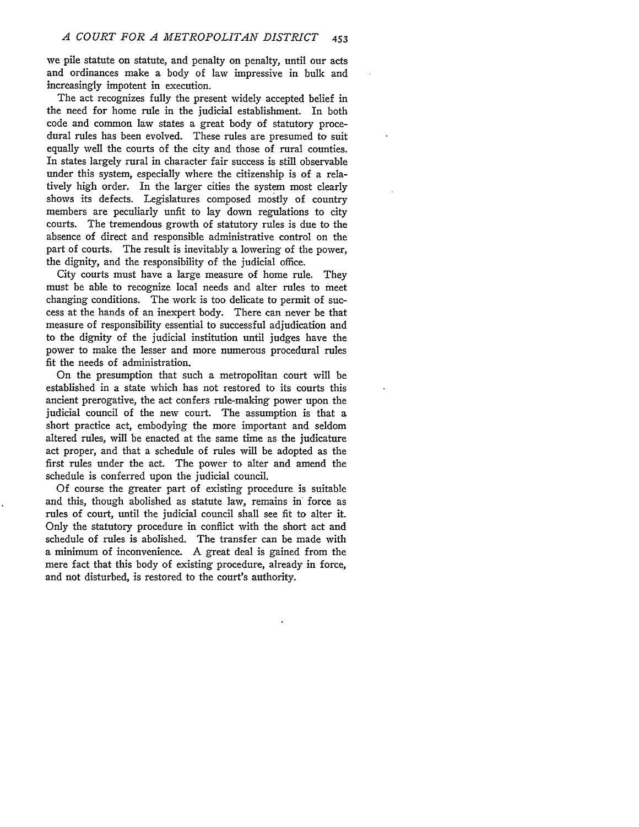we pile statute on statute, and penalty on penalty, until our acts and ordinances make a body of law impressive in bulk and increasingly impotent in execution.

The act recognizes fully the present widely accepted belief in the need for home rule in the judicial establishment. In both code and common law states a great body of statutory procedural rules has been evolved. These rules are presumed to suit equally well the courts of the city and those of rural counties. In states largely rural in character fair success is still observable under this system, especially where the citizenship is of a relatively high order. In the larger cities the system most clearly shows its defects. Legislatures composed mostly of country members are peculiarly unfit to lay down regulations to city courts. The tremendous growth of statutory rules is due to the absence of direct and responsible administrative control on the part of courts. The result is inevitably a lowering of the power, the dignity, and the responsibility of the judicial office.

City courts must have a large measure of home rule. They must be able to recognize local needs and alter rules to meet changing conditions. The work is too delicate to permit of success at the hands of an inexpert body. There can never be that measure of responsibility essential to successful adjudication and to the dignity of the judicial institution until judges have the power to make the lesser and more numerous procedural rules fit the needs of administration.

On the presumption that such a metropolitan court will be established in a state which has not restored to its courts this ancient prerogative, the act confers rule-making power upon the judicial council of the new court. The assumption is that a short practice act, embodying the more important and seldom altered rules, will be enacted at the same time as the judicature act proper, and that a schedule of rules will be adopted as the first rules under the act. The power to alter and amend the schedule is conferred upon the judicial council.

Of course the greater part of existing procedure is suitable and this, though abolished as statute law, remains in' force as rules of court, until the judicial council shall see fit to alter it. Only the statutory procedure in conflict with the short act and schedule of rules is abolished. The transfer can be made with a minimum of inconvenience. A great deal is gained from the mere fact that this body of existing procedure, already in force, and not disturbed, is restored to the court's authority.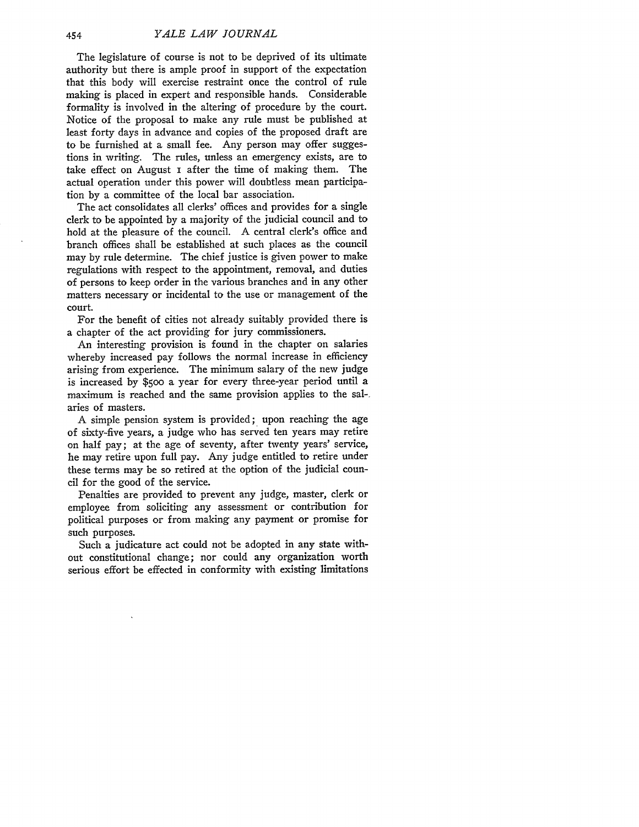The legislature of course is not to be deprived of its ultimate authority but there is ample proof in support of the expectation that this body will exercise restraint once the control of rule making is placed in expert and responsible hands. Considerable formality is involved in the altering of procedure by the court. Notice of the proposal to make any rule must be published at least forty days in advance and copies of the proposed draft are to be furnished at a small fee. Any person may offer suggestions in writing. The rules, unless an emergency exists, are to take effect on August i after the time of making them. The actual operation under this power will doubtless mean participation by a committee of the local bar association.

The act consolidates all clerks' offices and provides for a single clerk to be appointed by a majority of the judicial council and to hold at the pleasure of the council. A central clerk's office and branch offices shall be established at such places as the council may by rule determine. The chief justice is given power to make regulations with respect to the appointment, removal, and duties of persons to keep order in the various branches and in any other matters necessary or incidental to the use or management of the court.

For the benefit of cities not already suitably provided there is a chapter of the act providing for jury commissioners.

An interesting provision is found in the chapter on salaries whereby increased pay follows the normal increase in efficiency arising from experience. The minimum salary of the new judge is increased by **\$500** a year for every three-year period until a maximum is reached and the same provision applies to the salaries of masters.

A simple pension system is provided; upon reaching the age of sixty-five years, a judge who has served ten years may retire on half pay; at the age of seventy, after twenty years' service, he may retire upon full pay. Any judge entitled to retire under these terms may be so retired at the option of the judicial council for the good of the service.

Penalties are provided to prevent any judge, master, clerk or employee from soliciting any assessment or contribution for political purposes or from making any payment or promise for such purposes.

Such a judicature act could not be adopted in any state without constitutional change; nor could any organization worth serious effort be effected in conformity with existing limitations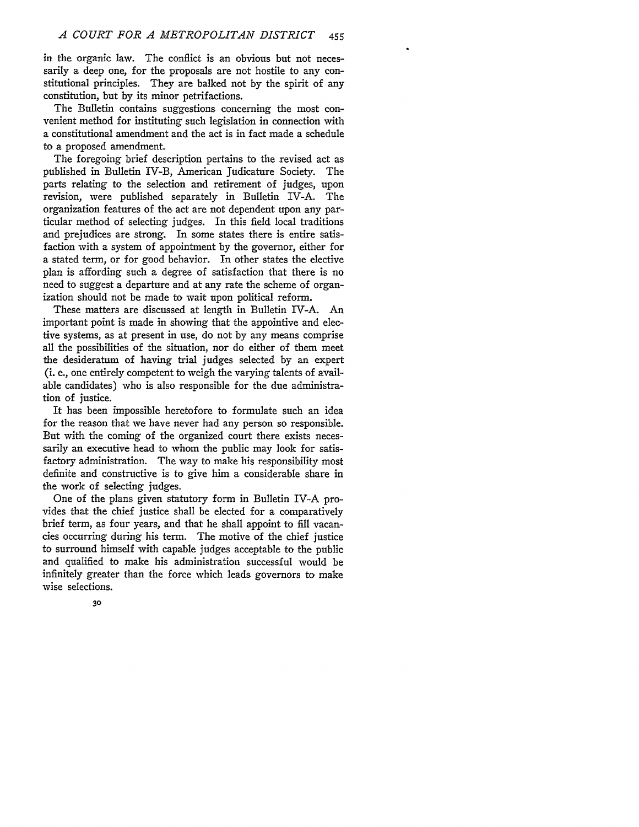in the organic law. The conflict is an obvious but not necessarily a deep one, for the proposals are not hostile to any constitutional principles. They are balked not by the spirit of any constitution, but by its minor petrifactions.

The Bulletin contains suggestions concerning the most convenient method for instituting such legislation in connection with a constitutional amendment and the act is in fact made a schedule to a proposed amendment.

The foregoing brief description pertains to the revised act as published in Bulletin IV-B, American Judicature Society. The parts relating to the selection and retirement of judges, upon revision, were published separately in Bulletin IV-A. The organization features of the act are not dependent upon any particular method of selecting judges. In this field local traditions and prejudices are strong. In some states there is entire satisfaction with a system of appointment by the governor, either for a stated term, or for good behavior. In other states the elective plan is affording such a degree of satisfaction that there is no need to suggest a departure and at any rate the scheme of organization should not be made to wait upon political reform.

These matters are discussed at length in Bulletin IV-A. An important point is made in showing that the appointive and elective systems, as at present in use, do not by any means comprise all the possibilities of the situation, nor do either of them meet the desideratum of having trial judges selected by an expert (i. e., one entirely competent to weigh the varying talents of available candidates) who is also responsible for the due administration of justice.

It has been impossible heretofore to formulate such an idea for the reason that we have never had any person so responsible. But with the coming of the organized court there exists necessarily an executive head to whom the public may look for satisfactory administration. The way to make his responsibility most definite and constructive is to give him a considerable share in the work of selecting judges.

One of the plans given statutory form in Bulletin IV-A provides that the chief justice shall be elected for a comparatively brief term, as four years, and that he shall appoint to fill vacancies occurring during his term. The motive of the chief justice to surround himself with capable judges acceptable to the public and qualified to make his administration successful would be infinitely greater than the force which leads governors to make wise selections.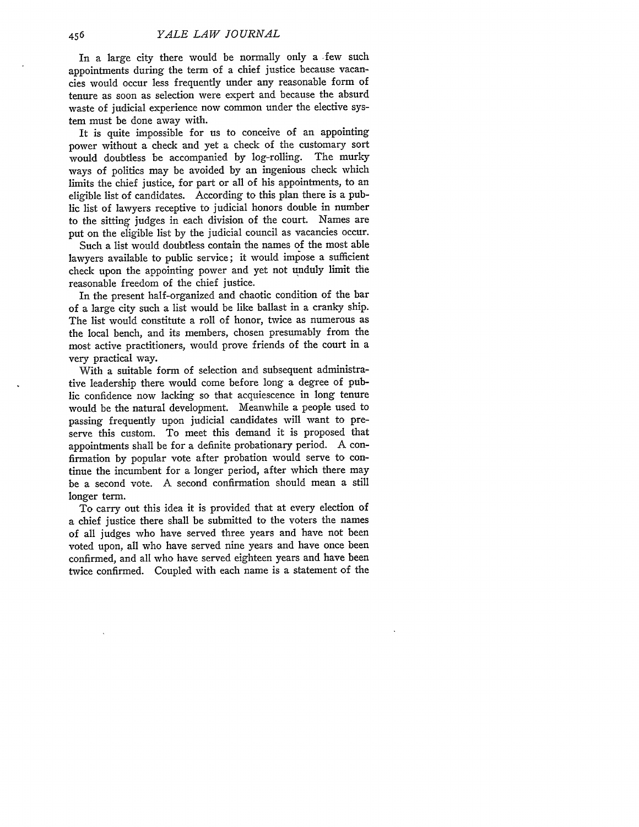In a large city there would be normally only a few such appointments during the term of a chief justice because vacancies would occur less frequently under any reasonable form of tenure as soon as selection were expert and because the absurd waste of judicial experience now common under the elective system must be done away with.

It is quite impossible for us to conceive of an appointing power without a check and yet a check of the customary sort would doubtless be accompanied by log-rolling. The murky ways of politics may be avoided by an ingenious check which limits the chief justice, for part or all of his appointments, to an eligible list of candidates. According to this plan there is a public list of lawyers receptive to judicial honors double in number to the sitting judges in each division of the court. Names are put on the eligible list by the judicial council as vacancies occur.

Such a list would doubtless contain the names of the most able lawyers available to public service; it would impose a sufficient check upon the appointing power and yet not unduly limit the reasonable freedom of the chief justice.

In the present half-organized and chaotic condition of the bar of a large city such a list would be like ballast in a cranky ship. The list would constitute a roll of honor, twice as numerous as the local bench, and its members, chosen presumably from the most active practitioners, would prove friends of the court in a very practical way.

With a suitable form of selection and subsequent administrative leadership there would come before long a degree of public confidence now lacking so that acquiescence in long tenure would be the natural development. Meanwhile a people used to passing frequently upon judicial candidates will want to preserve this custom. To meet this demand it is proposed that appointments shall be for a definite probationary period. A confirmation by popular vote after probation would serve to continue the incumbent for a longer period, after which there may be a second vote. A second confirmation should mean a still longer term.

To carry out this idea it is provided that at every election of a chief justice there shall be submitted to the voters the names of all judges who have served three years and have not been voted upon, all who have served nine years and have once been confirmed, and all who have served eighteen years and have been twice confirmed. Coupled with each name is a statement of the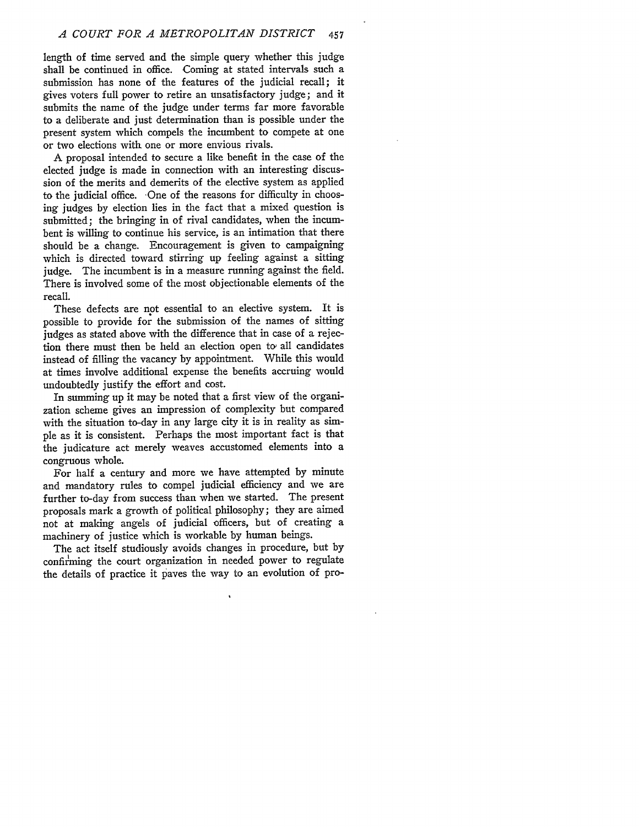length of time served and the simple query whether this judge shall be continued in office. Coming at stated intervals such a submission has none of the features of the judicial recall; it gives voters full power to retire an unsatisfactory judge; and it submits the name of the judge under terms far more favorable to a deliberate and just determination than is possible under the present system which compels the incumbent to compete at one or two elections with one or more envious rivals.

A proposal intended to secure a like benefit in the case of the elected judge is made in connection with an interesting discussion of the merits and demerits of the elective system as applied to the judicial office. -One of the reasons for difficulty in choosing judges by election lies in the fact that a mixed question is submitted; the bringing in of rival candidates, when the incumbent is willing to continue his service, is an intimation that there should be a change. Encouragement is given to campaigning which is directed toward stirring up feeling against a sitting judge. The incumbent is in a measure running against the field. There is involved some of the most objectionable elements of the recall.

These defects are not essential to an elective system. It is possible to provide for the submission of the names of sitting judges as stated above with the difference that in case of a rejection there must then be held an election open to' all candidates instead of filling the vacancy by appointment. While this would at times involve additional expense the benefits accruing would undoubtedly justify the effort and cost.

In summing up it may be noted that a first view of the organization scheme gives an impression of complexity but compared with the situation to-day in any large city it is in reality as simple as it is consistent. Perhaps the most important fact is that the judicature act merely weaves accustomed elements into a congruous whole.

For half a century and more we have attempted by minute and mandatory rules to compel judicial efficiency and we are further to-day from success than when we started. The present proposals mark a growth of political philosophy; they are aimed not at making angels of judicial officers, but of creating a machinery of justice which is workable by human beings.

The act itself studiously avoids changes in procedure, but by confiming the court organization in needed power to regulate the details of practice it paves the way to an evolution of pro